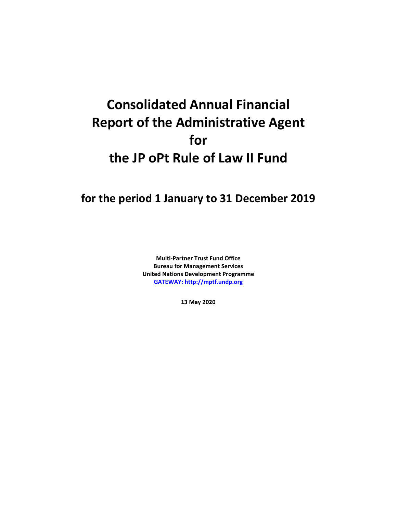# **Consolidated Annual Financial Report of the Administrative Agent for the JP oPt Rule of Law II Fund**

## **for the period 1 January to 31 December 2019**

**Multi-Partner Trust Fund Office Bureau for Management Services United Nations Development Programme [GATEWAY: http://mptf.undp.org](http://mptf.undp.org/)**

**13 May 2020**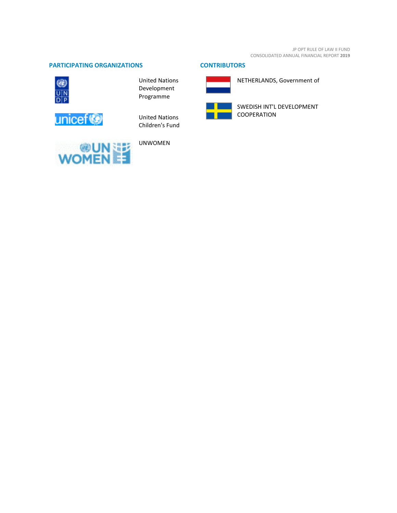#### **PARTICIPATING ORGANIZATIONS CONTRIBUTORS**



United Nations Development Programme



United Nations Children's Fund



UNWOMEN



NETHERLANDS, Government of



SWEDISH INT'L DEVELOPMENT COOPERATION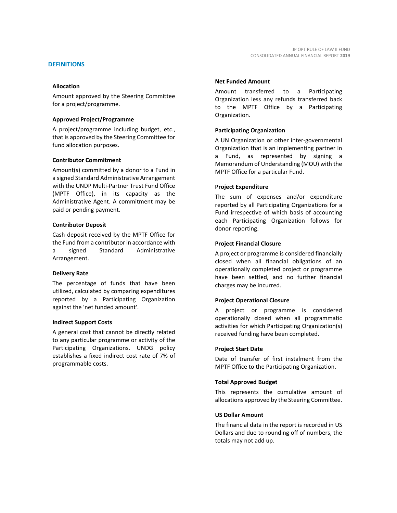#### **DEFINITIONS**

#### **Allocation**

Amount approved by the Steering Committee for a project/programme.

#### **Approved Project/Programme**

A project/programme including budget, etc., that is approved by the Steering Committee for fund allocation purposes.

#### **Contributor Commitment**

Amount(s) committed by a donor to a Fund in a signed Standard Administrative Arrangement with the UNDP Multi-Partner Trust Fund Office (MPTF Office), in its capacity as the Administrative Agent. A commitment may be paid or pending payment.

#### **Contributor Deposit**

Cash deposit received by the MPTF Office for the Fund from a contributor in accordance with a signed Standard Administrative Arrangement.

#### **Delivery Rate**

The percentage of funds that have been utilized, calculated by comparing expenditures reported by a Participating Organization against the 'net funded amount'.

#### **Indirect Support Costs**

A general cost that cannot be directly related to any particular programme or activity of the Participating Organizations. UNDG policy establishes a fixed indirect cost rate of 7% of programmable costs.

#### **Net Funded Amount**

Amount transferred to a Participating Organization less any refunds transferred back to the MPTF Office by a Participating Organization.

#### **Participating Organization**

A UN Organization or other inter-governmental Organization that is an implementing partner in a Fund, as represented by signing a Memorandum of Understanding (MOU) with the MPTF Office for a particular Fund.

#### **Project Expenditure**

The sum of expenses and/or expenditure reported by all Participating Organizations for a Fund irrespective of which basis of accounting each Participating Organization follows for donor reporting.

#### **Project Financial Closure**

A project or programme is considered financially closed when all financial obligations of an operationally completed project or programme have been settled, and no further financial charges may be incurred.

#### **Project Operational Closure**

A project or programme is considered operationally closed when all programmatic activities for which Participating Organization(s) received funding have been completed.

#### **Project Start Date**

Date of transfer of first instalment from the MPTF Office to the Participating Organization.

#### **Total Approved Budget**

This represents the cumulative amount of allocations approved by the Steering Committee.

#### **US Dollar Amount**

The financial data in the report is recorded in US Dollars and due to rounding off of numbers, the totals may not add up.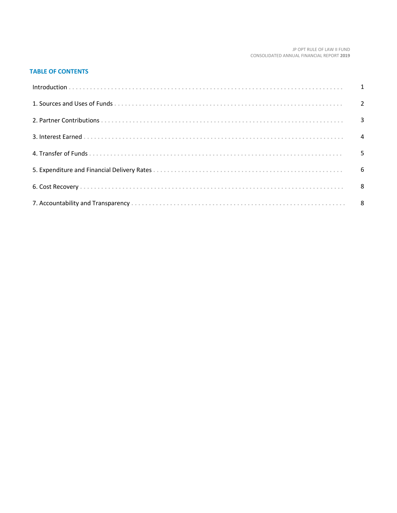#### JP OPT RULE OF LAW II FUND CONSOLIDATED ANNUAL FINANCIAL REPORT **2019**

### **TABLE OF CONTENTS**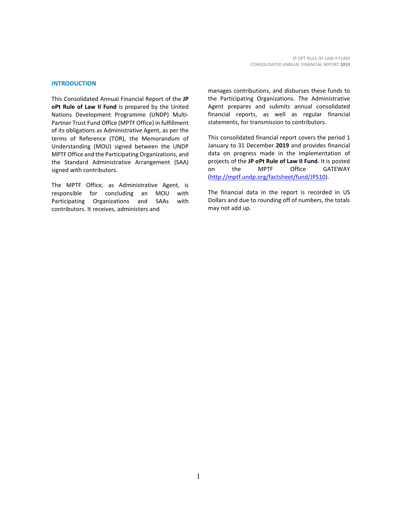#### **INTRODUCTION**

This Consolidated Annual Financial Report of the **JP oPt Rule of Law II Fund** is prepared by the United Nations Development Programme (UNDP) Multi-Partner Trust Fund Office (MPTF Office) in fulfillment of its obligations as Administrative Agent, as per the terms of Reference (TOR), the Memorandum of Understanding (MOU) signed between the UNDP MPTF Office and the Participating Organizations, and the Standard Administrative Arrangement (SAA) signed with contributors.

The MPTF Office, as Administrative Agent, is responsible for concluding an MOU with Participating Organizations and SAAs with contributors. It receives, administers and

manages contributions, and disburses these funds to the Participating Organizations. The Administrative Agent prepares and submits annual consolidated financial reports, as well as regular financial statements, for transmission to contributors.

This consolidated financial report covers the period 1 January to 31 December **2019** and provides financial data on progress made in the implementation of projects of the **JP oPt Rule of Law II Fund**. It is posted on the MPTF Office GATEWAY [\(http://mptf.undp.org/factsheet/fund/JPS10\)](http://mptf.undp.org/factsheet/fund/JPS10).

The financial data in the report is recorded in US Dollars and due to rounding off of numbers, the totals may not add up.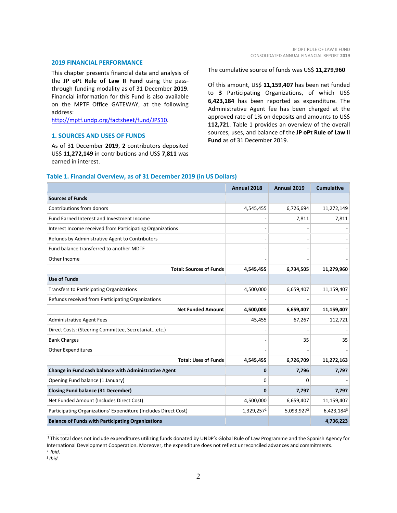#### **2019 FINANCIAL PERFORMANCE**

This chapter presents financial data and analysis of the **JP oPt Rule of Law II Fund** using the passthrough funding modality as of 31 December **2019**. Financial information for this Fund is also available on the MPTF Office GATEWAY, at the following address:

[http://mptf.undp.org/factsheet/fund/JPS10.](http://mptf.undp.org/factsheet/fund/JPS10)

#### **1. SOURCES AND USES OF FUNDS**

As of 31 December **2019**, **2** contributors deposited US\$ **11,272,149** in contributions and US\$ **7,811** was earned in interest.

The cumulative source of funds was US\$ **11,279,960**

Of this amount, US\$ **11,159,407** has been net funded to **3** Participating Organizations, of which US\$ **6,423,184** has been reported as expenditure. The Administrative Agent fee has been charged at the approved rate of 1% on deposits and amounts to US\$ **112,721**. Table 1 provides an overview of the overall sources, uses, and balance of the **JP oPt Rule of Law II Fund** as of 31 December 2019.

|                                                                 | Annual 2018  | Annual 2019            | <b>Cumulative</b> |
|-----------------------------------------------------------------|--------------|------------------------|-------------------|
| <b>Sources of Funds</b>                                         |              |                        |                   |
| Contributions from donors                                       | 4,545,455    | 6,726,694              | 11,272,149        |
| Fund Earned Interest and Investment Income                      |              | 7,811                  | 7,811             |
| Interest Income received from Participating Organizations       |              |                        |                   |
| Refunds by Administrative Agent to Contributors                 |              |                        |                   |
| Fund balance transferred to another MDTF                        |              |                        |                   |
| Other Income                                                    |              |                        |                   |
| <b>Total: Sources of Funds</b>                                  | 4,545,455    | 6,734,505              | 11,279,960        |
| <b>Use of Funds</b>                                             |              |                        |                   |
| Transfers to Participating Organizations                        | 4,500,000    | 6,659,407              | 11,159,407        |
| Refunds received from Participating Organizations               |              |                        |                   |
| <b>Net Funded Amount</b>                                        | 4,500,000    | 6,659,407              | 11,159,407        |
| <b>Administrative Agent Fees</b>                                | 45,455       | 67,267                 | 112,721           |
| Direct Costs: (Steering Committee, Secretariatetc.)             |              |                        |                   |
| <b>Bank Charges</b>                                             |              | 35                     | 35                |
| <b>Other Expenditures</b>                                       |              |                        |                   |
| <b>Total: Uses of Funds</b>                                     | 4,545,455    | 6,726,709              | 11,272,163        |
| Change in Fund cash balance with Administrative Agent           | $\mathbf{0}$ | 7,796                  | 7,797             |
| Opening Fund balance (1 January)                                | 0            | 0                      |                   |
| <b>Closing Fund balance (31 December)</b>                       | $\bf{0}$     | 7,797                  | 7,797             |
| Net Funded Amount (Includes Direct Cost)                        | 4,500,000    | 6,659,407              | 11,159,407        |
| Participating Organizations' Expenditure (Includes Direct Cost) | 1,329,2571   | 5,093,927 <sup>2</sup> | 6,423,1843        |
| <b>Balance of Funds with Participating Organizations</b>        |              |                        | 4,736,223         |

#### **Table 1. Financial Overview, as of 31 December 2019 (in US Dollars)**

.1 This total does not include expenditures utilizing funds donated by UNDP's Global Rule of Law Programme and the Spanish Agency for International Development Cooperation. Moreover, the expenditure does not reflect unreconciled advances and commitments.

<sup>2</sup>*Ibid.*

 $\frac{1}{2}$ 

3 *Ibid.*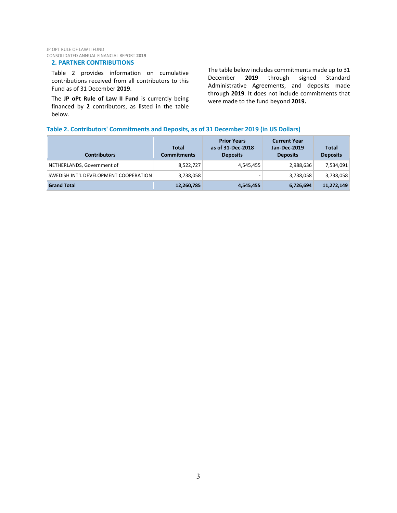#### **2. PARTNER CONTRIBUTIONS**

Table 2 provides information on cumulative contributions received from all contributors to this Fund as of 31 December **2019**.

The **JP oPt Rule of Law II Fund** is currently being financed by **2** contributors, as listed in the table below.

The table below includes commitments made up to 31<br>December 2019 through signed Standard December **2019** through signed Standard Administrative Agreements, and deposits made through **2019**. It does not include commitments that were made to the fund beyond **2019.**

#### **Table 2. Contributors' Commitments and Deposits, as of 31 December 2019 (in US Dollars)**

| <b>Contributors</b>                   | <b>Total</b><br><b>Commitments</b> | <b>Prior Years</b><br>as of 31-Dec-2018<br><b>Deposits</b> | <b>Current Year</b><br>Jan-Dec-2019<br><b>Deposits</b> | Total<br><b>Deposits</b> |
|---------------------------------------|------------------------------------|------------------------------------------------------------|--------------------------------------------------------|--------------------------|
| NETHERLANDS, Government of            | 8,522,727                          | 4,545,455                                                  | 2,988,636                                              | 7,534,091                |
| SWEDISH INT'L DEVELOPMENT COOPERATION | 3,738,058                          | ۰                                                          | 3,738,058                                              | 3,738,058                |
| <b>Grand Total</b>                    | 12,260,785                         | 4,545,455                                                  | 6,726,694                                              | 11,272,149               |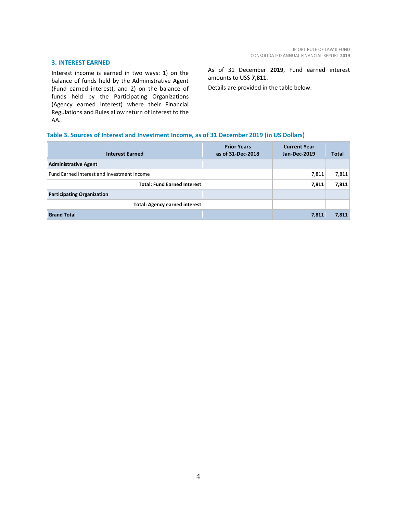#### **3. INTEREST EARNED**

Interest income is earned in two ways: 1) on the balance of funds held by the Administrative Agent (Fund earned interest), and 2) on the balance of funds held by the Participating Organizations (Agency earned interest) where their Financial Regulations and Rules allow return of interest to the AA.

As of 31 December **2019**, Fund earned interest amounts to US\$ **7,811**.

Details are provided in the table below.

#### **Table 3. Sources of Interest and Investment Income, as of 31 December 2019 (in US Dollars)**

| <b>Interest Earned</b>                     | <b>Prior Years</b><br>as of 31-Dec-2018 | <b>Current Year</b><br><b>Jan-Dec-2019</b> | <b>Total</b> |
|--------------------------------------------|-----------------------------------------|--------------------------------------------|--------------|
| <b>Administrative Agent</b>                |                                         |                                            |              |
| Fund Earned Interest and Investment Income |                                         | 7,811                                      | 7,811        |
| <b>Total: Fund Earned Interest</b>         |                                         | 7,811                                      | 7,811        |
| <b>Participating Organization</b>          |                                         |                                            |              |
| <b>Total: Agency earned interest</b>       |                                         |                                            |              |
| <b>Grand Total</b>                         |                                         | 7,811                                      | 7,811        |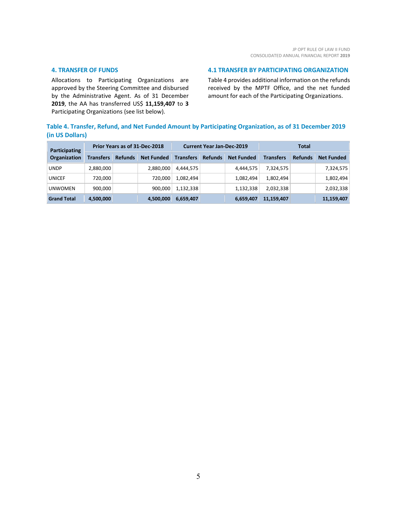#### **4. TRANSFER OF FUNDS**

Allocations to Participating Organizations are approved by the Steering Committee and disbursed by the Administrative Agent. As of 31 December **2019**, the AA has transferred US\$ **11,159,407** to **3** Participating Organizations (see list below).

#### **4.1 TRANSFER BY PARTICIPATING ORGANIZATION**

Table 4 provides additional information on the refunds received by the MPTF Office, and the net funded amount for each of the Participating Organizations.

#### **Table 4. Transfer, Refund, and Net Funded Amount by Participating Organization, as of 31 December 2019 (in US Dollars)**

| Participating<br><b>Organization</b> | Prior Years as of 31-Dec-2018 |                |                   | <b>Current Year Jan-Dec-2019</b> |                |                   | <b>Total</b>     |                |                   |
|--------------------------------------|-------------------------------|----------------|-------------------|----------------------------------|----------------|-------------------|------------------|----------------|-------------------|
|                                      | <b>Transfers</b>              | <b>Refunds</b> | <b>Net Funded</b> | <b>Transfers</b>                 | <b>Refunds</b> | <b>Net Funded</b> | <b>Transfers</b> | <b>Refunds</b> | <b>Net Funded</b> |
| <b>UNDP</b>                          | 2,880,000                     |                | 2,880,000         | 4,444,575                        |                | 4,444,575         | 7,324,575        |                | 7,324,575         |
| <b>UNICEF</b>                        | 720,000                       |                | 720.000           | 1,082,494                        |                | 1,082,494         | 1,802,494        |                | 1,802,494         |
| <b>UNWOMEN</b>                       | 900,000                       |                | 900.000           | 1,132,338                        |                | 1,132,338         | 2,032,338        |                | 2,032,338         |
| <b>Grand Total</b>                   | 4,500,000                     |                | 4,500,000         | 6,659,407                        |                | 6,659,407         | 11,159,407       |                | 11,159,407        |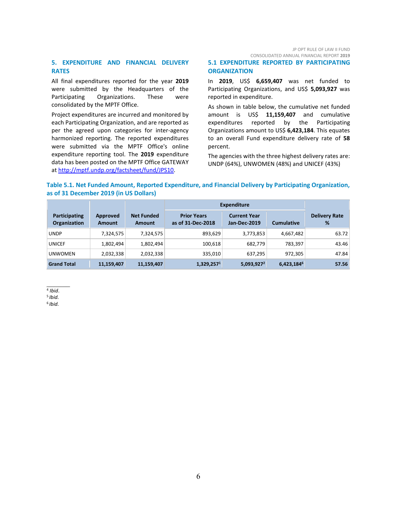JP OPT RULE OF LAW II FUND CONSOLIDATED ANNUAL FINANCIAL REPORT **2019**

#### **5. EXPENDITURE AND FINANCIAL DELIVERY RATES**

All final expenditures reported for the year **2019** were submitted by the Headquarters of the Participating Organizations. These were consolidated by the MPTF Office.

Project expenditures are incurred and monitored by each Participating Organization, and are reported as per the agreed upon categories for inter-agency harmonized reporting. The reported expenditures were submitted via the MPTF Office's online expenditure reporting tool. The **2019** expenditure data has been posted on the MPTF Office GATEWAY at [http://mptf.undp.org/factsheet/fund/JPS10.](http://mptf.undp.org/factsheet/fund/JPS10)

#### **5.1 EXPENDITURE REPORTED BY PARTICIPATING ORGANIZATION**

In **2019**, US\$ **6,659,407** was net funded to Participating Organizations, and US\$ **5,093,927** was reported in expenditure.

As shown in table below, the cumulative net funded amount is US\$ **11,159,407** and cumulative expenditures reported by the Participating Organizations amount to US\$ **6,423,184**. This equates to an overall Fund expenditure delivery rate of **58** percent.

The agencies with the three highest delivery rates are: UNDP (64%), UNWOMEN (48%) and UNICEF (43%)

#### **Table 5.1. Net Funded Amount, Reported Expenditure, and Financial Delivery by Participating Organization, as of 31 December 2019 (in US Dollars)**

|                                      |                    |                                    | Expenditure                             |                                            |                   |                           |
|--------------------------------------|--------------------|------------------------------------|-----------------------------------------|--------------------------------------------|-------------------|---------------------------|
| Participating<br><b>Organization</b> | Approved<br>Amount | <b>Net Funded</b><br><b>Amount</b> | <b>Prior Years</b><br>as of 31-Dec-2018 | <b>Current Year</b><br><b>Jan-Dec-2019</b> | <b>Cumulative</b> | <b>Delivery Rate</b><br>% |
| <b>UNDP</b>                          | 7,324,575          | 7,324,575                          | 893,629                                 | 3,773,853                                  | 4,667,482         | 63.72                     |
| <b>UNICEF</b>                        | 1,802,494          | 1,802,494                          | 100,618                                 | 682,779                                    | 783,397           | 43.46                     |
| <b>UNWOMEN</b>                       | 2,032,338          | 2,032,338                          | 335,010                                 | 637,295                                    | 972,305           | 47.84                     |
| <b>Grand Total</b>                   | 11,159,407         | 11,159,407                         | 1,329,2571                              | 5,093,927 <sup>2</sup>                     | 6,423,1846        | 57.56                     |

#### <sup>4</sup> *Ibid*.

<sup>5</sup> *Ibid.*

6 *Ibid.*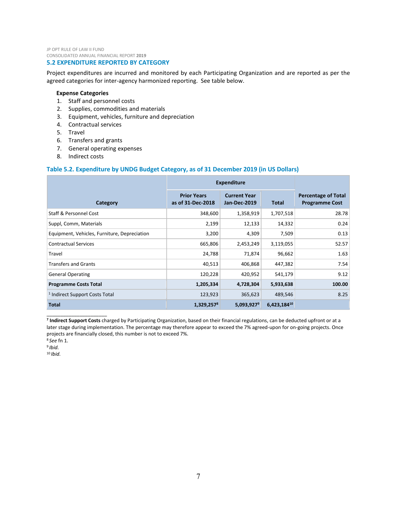JP OPT RULE OF LAW II FUND CONSOLIDATED ANNUAL FINANCIAL REPORT **2019**

#### **5.2 EXPENDITURE REPORTED BY CATEGORY**

Project expenditures are incurred and monitored by each Participating Organization and are reported as per the agreed categories for inter-agency harmonized reporting. See table below.

#### **Expense Categories**

- 1. Staff and personnel costs
- 2. Supplies, commodities and materials
- 3. Equipment, vehicles, furniture and depreciation
- 4. Contractual services
- 5. Travel
- 6. Transfers and grants
- 7. General operating expenses
- 8. Indirect costs

#### **Table 5.2. Expenditure by UNDG Budget Category, as of 31 December 2019 (in US Dollars)**

|                                              | <b>Expenditure</b>                      |                                            |              |                                                     |
|----------------------------------------------|-----------------------------------------|--------------------------------------------|--------------|-----------------------------------------------------|
| Category                                     | <b>Prior Years</b><br>as of 31-Dec-2018 | <b>Current Year</b><br><b>Jan-Dec-2019</b> | <b>Total</b> | <b>Percentage of Total</b><br><b>Programme Cost</b> |
| <b>Staff &amp; Personnel Cost</b>            | 348,600                                 | 1,358,919                                  | 1,707,518    | 28.78                                               |
| Suppl, Comm, Materials                       | 2,199                                   | 12,133                                     | 14,332       | 0.24                                                |
| Equipment, Vehicles, Furniture, Depreciation | 3,200                                   | 4,309                                      | 7,509        | 0.13                                                |
| <b>Contractual Services</b>                  | 665,806                                 | 2,453,249                                  | 3,119,055    | 52.57                                               |
| Travel                                       | 24,788                                  | 71,874                                     | 96,662       | 1.63                                                |
| <b>Transfers and Grants</b>                  | 40,513                                  | 406,868                                    | 447,382      | 7.54                                                |
| <b>General Operating</b>                     | 120,228                                 | 420,952                                    | 541,179      | 9.12                                                |
| <b>Programme Costs Total</b>                 | 1,205,334                               | 4,728,304                                  | 5,933,638    | 100.00                                              |
| <sup>1</sup> Indirect Support Costs Total    | 123,923                                 | 365,623                                    | 489,546      | 8.25                                                |
| <b>Total</b>                                 | 1,329,257 <sup>8</sup>                  | $5,093,927^9$                              | 6,423,18410  |                                                     |

**<sup>7</sup> Indirect Support Costs** charged by Participating Organization, based on their financial regulations, can be deducted upfront or at a later stage during implementation. The percentage may therefore appear to exceed the 7% agreed-upon for on-going projects. Once projects are financially closed, this number is not to exceed 7%.

<sup>8</sup> *See* fn 1.

 $\_$ 

<sup>9</sup>*Ibid.*

10 *Ibid.*